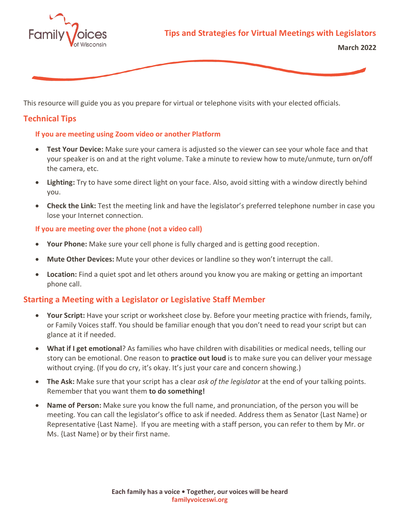



This resource will guide you as you prepare for virtual or telephone visits with your elected officials.

# **Technical Tips**

### **If you are meeting using Zoom video or another Platform**

- **Test Your Device:** Make sure your camera is adjusted so the viewer can see your whole face and that your speaker is on and at the right volume. Take a minute to review how to mute/unmute, turn on/off the camera, etc.
- **Lighting:** Try to have some direct light on your face. Also, avoid sitting with a window directly behind you.
- **Check the Link:** Test the meeting link and have the legislator's preferred telephone number in case you lose your Internet connection.

#### **If you are meeting over the phone (not a video call)**

- **Your Phone:** Make sure your cell phone is fully charged and is getting good reception.
- **Mute Other Devices:** Mute your other devices or landline so they won't interrupt the call.
- **Location:** Find a quiet spot and let others around you know you are making or getting an important phone call.

## **Starting a Meeting with a Legislator or Legislative Staff Member**

- **Your Script:** Have your script or worksheet close by. Before your meeting practice with friends, family, or Family Voices staff. You should be familiar enough that you don't need to read your script but can glance at it if needed.
- **What if I get emotional**? As families who have children with disabilities or medical needs, telling our story can be emotional. One reason to **practice out loud** is to make sure you can deliver your message without crying. (If you do cry, it's okay. It's just your care and concern showing.)
- **The Ask:** Make sure that your script has a clear *ask of the legislator* at the end of your talking points. Remember that you want them **to do something!**
- **Name of Person:** Make sure you know the full name, and pronunciation, of the person you will be meeting. You can call the legislator's office to ask if needed. Address them as Senator {Last Name} or Representative {Last Name}. If you are meeting with a staff person, you can refer to them by Mr. or Ms. {Last Name} or by their first name.